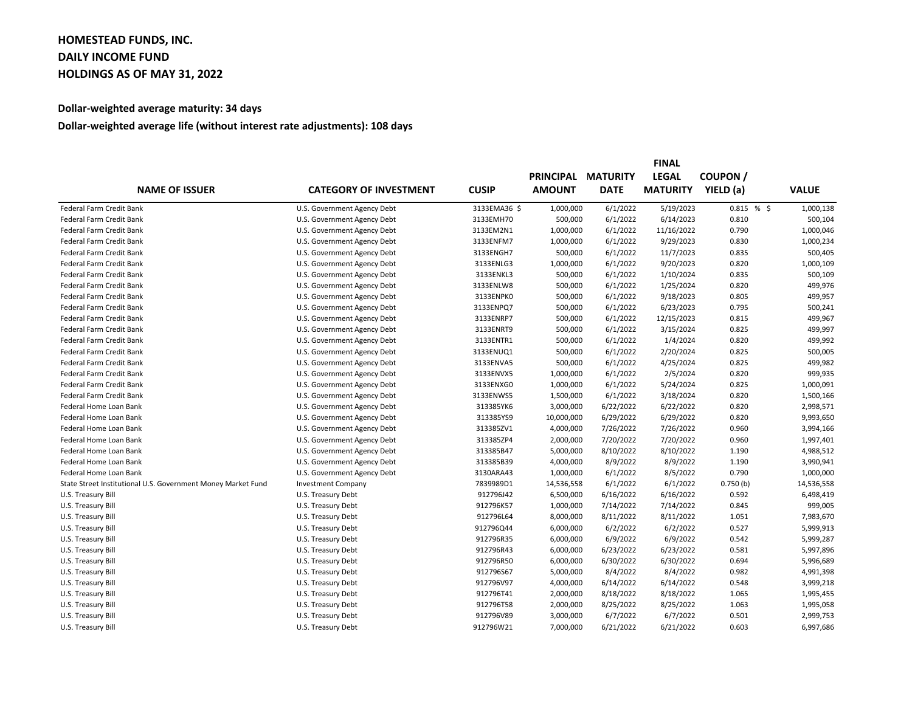## **HOMESTEAD FUNDS, INC. DAILY INCOME FUND HOLDINGS AS OF MAY 31, 2022**

## **Dollar-weighted average maturity: 34 days**

## **Dollar-weighted average life (without interest rate adjustments): 108 days**

| <b>NAME OF ISSUER</b>                                        | <b>CATEGORY OF INVESTMENT</b> |              | <b>FINAL</b>     |                 |                 |               |              |
|--------------------------------------------------------------|-------------------------------|--------------|------------------|-----------------|-----------------|---------------|--------------|
|                                                              |                               | <b>CUSIP</b> | <b>PRINCIPAL</b> | <b>MATURITY</b> | <b>LEGAL</b>    | <b>COUPON</b> |              |
|                                                              |                               |              | <b>AMOUNT</b>    | <b>DATE</b>     | <b>MATURITY</b> | YIELD (a)     | <b>VALUE</b> |
| Federal Farm Credit Bank                                     | U.S. Government Agency Debt   | 3133EMA36 \$ | 1,000,000        | 6/1/2022        | 5/19/2023       | 0.815%        | 1,000,138    |
| Federal Farm Credit Bank                                     | U.S. Government Agency Debt   | 3133EMH70    | 500,000          | 6/1/2022        | 6/14/2023       | 0.810         | 500,104      |
| Federal Farm Credit Bank                                     | U.S. Government Agency Debt   | 3133EM2N1    | 1,000,000        | 6/1/2022        | 11/16/2022      | 0.790         | 1,000,046    |
| <b>Federal Farm Credit Bank</b>                              | U.S. Government Agency Debt   | 3133ENFM7    | 1,000,000        | 6/1/2022        | 9/29/2023       | 0.830         | 1,000,234    |
| Federal Farm Credit Bank                                     | U.S. Government Agency Debt   | 3133ENGH7    | 500,000          | 6/1/2022        | 11/7/2023       | 0.835         | 500,405      |
| <b>Federal Farm Credit Bank</b>                              | U.S. Government Agency Debt   | 3133ENLG3    | 1,000,000        | 6/1/2022        | 9/20/2023       | 0.820         | 1,000,109    |
| Federal Farm Credit Bank                                     | U.S. Government Agency Debt   | 3133ENKL3    | 500,000          | 6/1/2022        | 1/10/2024       | 0.835         | 500,109      |
| Federal Farm Credit Bank                                     | U.S. Government Agency Debt   | 3133ENLW8    | 500,000          | 6/1/2022        | 1/25/2024       | 0.820         | 499,976      |
| Federal Farm Credit Bank                                     | U.S. Government Agency Debt   | 3133ENPK0    | 500,000          | 6/1/2022        | 9/18/2023       | 0.805         | 499,957      |
| Federal Farm Credit Bank                                     | U.S. Government Agency Debt   | 3133ENPQ7    | 500,000          | 6/1/2022        | 6/23/2023       | 0.795         | 500,241      |
| Federal Farm Credit Bank                                     | U.S. Government Agency Debt   | 3133ENRP7    | 500,000          | 6/1/2022        | 12/15/2023      | 0.815         | 499,967      |
| Federal Farm Credit Bank                                     | U.S. Government Agency Debt   | 3133ENRT9    | 500,000          | 6/1/2022        | 3/15/2024       | 0.825         | 499,997      |
| Federal Farm Credit Bank                                     | U.S. Government Agency Debt   | 3133ENTR1    | 500,000          | 6/1/2022        | 1/4/2024        | 0.820         | 499,992      |
| Federal Farm Credit Bank                                     | U.S. Government Agency Debt   | 3133ENUQ1    | 500,000          | 6/1/2022        | 2/20/2024       | 0.825         | 500,005      |
| Federal Farm Credit Bank                                     | U.S. Government Agency Debt   | 3133ENVA5    | 500,000          | 6/1/2022        | 4/25/2024       | 0.825         | 499,982      |
| Federal Farm Credit Bank                                     | U.S. Government Agency Debt   | 3133ENVX5    | 1,000,000        | 6/1/2022        | 2/5/2024        | 0.820         | 999,935      |
| Federal Farm Credit Bank                                     | U.S. Government Agency Debt   | 3133ENXG0    | 1,000,000        | 6/1/2022        | 5/24/2024       | 0.825         | 1,000,091    |
| Federal Farm Credit Bank                                     | U.S. Government Agency Debt   | 3133ENWS5    | 1,500,000        | 6/1/2022        | 3/18/2024       | 0.820         | 1,500,166    |
| Federal Home Loan Bank                                       | U.S. Government Agency Debt   | 313385YK6    | 3,000,000        | 6/22/2022       | 6/22/2022       | 0.820         | 2,998,571    |
| Federal Home Loan Bank                                       | U.S. Government Agency Debt   | 313385YS9    | 10,000,000       | 6/29/2022       | 6/29/2022       | 0.820         | 9,993,650    |
| Federal Home Loan Bank                                       | U.S. Government Agency Debt   | 313385ZV1    | 4,000,000        | 7/26/2022       | 7/26/2022       | 0.960         | 3,994,166    |
| Federal Home Loan Bank                                       | U.S. Government Agency Debt   | 313385ZP4    | 2,000,000        | 7/20/2022       | 7/20/2022       | 0.960         | 1,997,401    |
| Federal Home Loan Bank                                       | U.S. Government Agency Debt   | 313385B47    | 5,000,000        | 8/10/2022       | 8/10/2022       | 1.190         | 4,988,512    |
| Federal Home Loan Bank                                       | U.S. Government Agency Debt   | 313385B39    | 4,000,000        | 8/9/2022        | 8/9/2022        | 1.190         | 3,990,941    |
| Federal Home Loan Bank                                       | U.S. Government Agency Debt   | 3130ARA43    | 1,000,000        | 6/1/2022        | 8/5/2022        | 0.790         | 1,000,000    |
| State Street Institutional U.S. Government Money Market Fund | <b>Investment Company</b>     | 7839989D1    | 14,536,558       | 6/1/2022        | 6/1/2022        | 0.750(b)      | 14,536,558   |
| U.S. Treasury Bill                                           | U.S. Treasury Debt            | 912796J42    | 6,500,000        | 6/16/2022       | 6/16/2022       | 0.592         | 6,498,419    |
| U.S. Treasury Bill                                           | U.S. Treasury Debt            | 912796K57    | 1,000,000        | 7/14/2022       | 7/14/2022       | 0.845         | 999,005      |
| U.S. Treasury Bill                                           | U.S. Treasury Debt            | 912796L64    | 8,000,000        | 8/11/2022       | 8/11/2022       | 1.051         | 7,983,670    |
| U.S. Treasury Bill                                           | U.S. Treasury Debt            | 912796Q44    | 6,000,000        | 6/2/2022        | 6/2/2022        | 0.527         | 5,999,913    |
| U.S. Treasury Bill                                           | U.S. Treasury Debt            | 912796R35    | 6,000,000        | 6/9/2022        | 6/9/2022        | 0.542         | 5,999,287    |
| U.S. Treasury Bill                                           | U.S. Treasury Debt            | 912796R43    | 6,000,000        | 6/23/2022       | 6/23/2022       | 0.581         | 5,997,896    |
| U.S. Treasury Bill                                           | U.S. Treasury Debt            | 912796R50    | 6,000,000        | 6/30/2022       | 6/30/2022       | 0.694         | 5,996,689    |
| U.S. Treasury Bill                                           | U.S. Treasury Debt            | 912796S67    | 5,000,000        | 8/4/2022        | 8/4/2022        | 0.982         | 4,991,398    |
| U.S. Treasury Bill                                           | U.S. Treasury Debt            | 912796V97    | 4,000,000        | 6/14/2022       | 6/14/2022       | 0.548         | 3,999,218    |
| U.S. Treasury Bill                                           | U.S. Treasury Debt            | 912796T41    | 2,000,000        | 8/18/2022       | 8/18/2022       | 1.065         | 1,995,455    |
| U.S. Treasury Bill                                           | U.S. Treasury Debt            | 912796T58    | 2,000,000        | 8/25/2022       | 8/25/2022       | 1.063         | 1,995,058    |
| U.S. Treasury Bill                                           | U.S. Treasury Debt            | 912796V89    | 3,000,000        | 6/7/2022        | 6/7/2022        | 0.501         | 2,999,753    |
| U.S. Treasury Bill                                           | U.S. Treasury Debt            | 912796W21    | 7,000,000        | 6/21/2022       | 6/21/2022       | 0.603         | 6,997,686    |